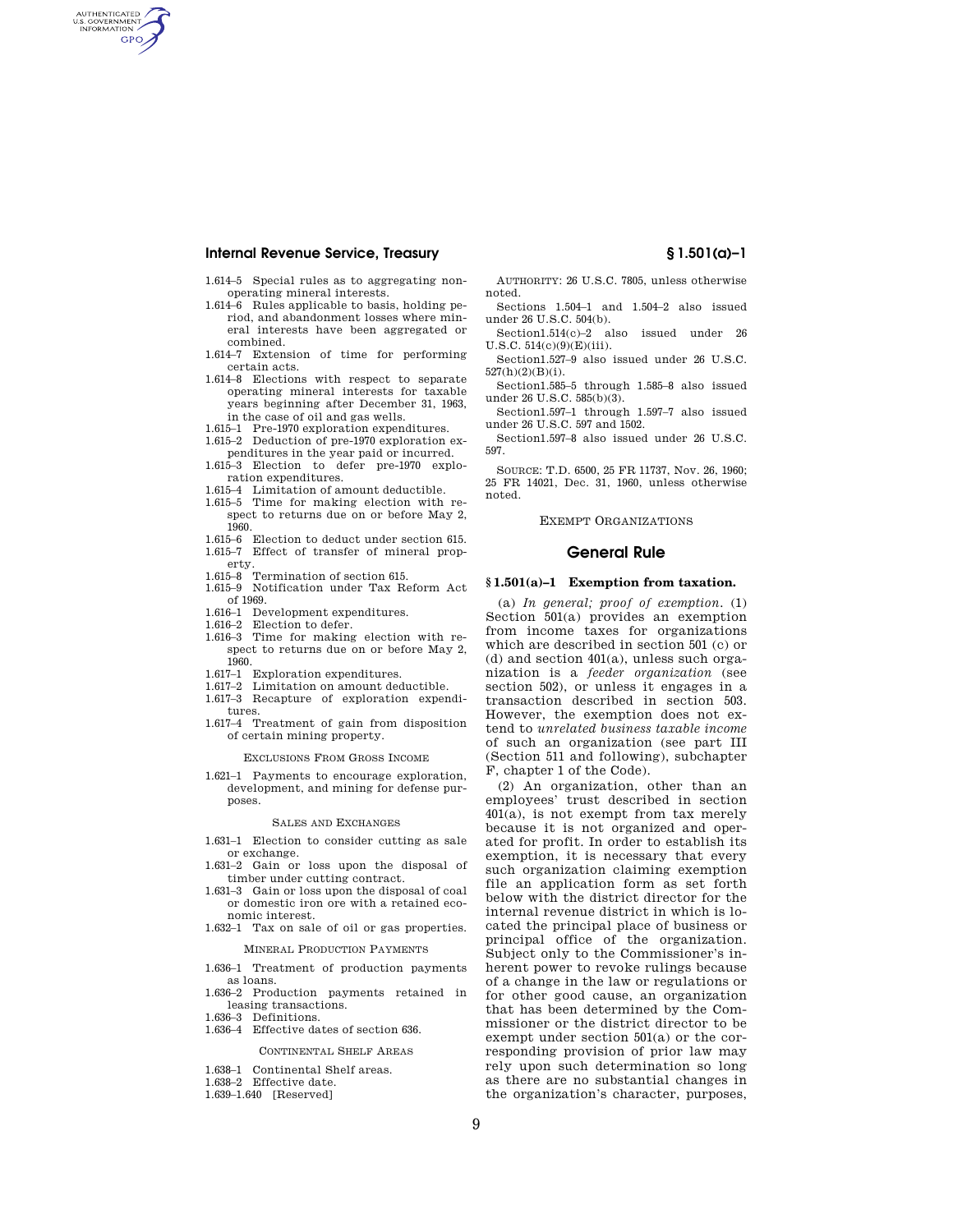# **Internal Revenue Service, Treasury § 1.501(a)–1**

AUTHENTICATED<br>U.S. GOVERNMENT<br>INFORMATION **GPO** 

- 1.614–5 Special rules as to aggregating nonoperating mineral interests.
- 1.614–6 Rules applicable to basis, holding period, and abandonment losses where mineral interests have been aggregated or combined.
- 1.614–7 Extension of time for performing certain acts.
- 1.614–8 Elections with respect to separate operating mineral interests for taxable years beginning after December 31, 1963, in the case of oil and gas wells.
- 
- 1.615–1 Pre-1970 exploration expenditures. 1.615–2 Deduction of pre-1970 exploration expenditures in the year paid or incurred. 1.615–3 Election to defer pre-1970 explo-
- ration expenditures.
- 1.615–4 Limitation of amount deductible.
- 1.615–5 Time for making election with respect to returns due on or before May 2, 1960.
- 1.615–6 Election to deduct under section 615. 1.615–7 Effect of transfer of mineral prop-
- erty<br>1.615–8  $T$ ermination of section 615.
- 1.615–9 Notification under Tax Reform Act of 1969.
- 1.616–1 Development expenditures.<br>1.616–2 Election to defer
- Election to defer.
- 1.616–3 Time for making election with respect to returns due on or before May 2, 1960.
- 1.617–1 Exploration expenditures.
- 1.617–2 Limitation on amount deductible.
- 1.617–3 Recapture of exploration expenditures.
- 1.617–4 Treatment of gain from disposition of certain mining property.

EXCLUSIONS FROM GROSS INCOME

1.621–1 Payments to encourage exploration, development, and mining for defense purposes.

#### SALES AND EXCHANGES

- 1.631–1 Election to consider cutting as sale or exchange.
- 1.631–2 Gain or loss upon the disposal of timber under cutting contract.
- 1.631–3 Gain or loss upon the disposal of coal or domestic iron ore with a retained economic interest.
- 1.632–1 Tax on sale of oil or gas properties.

# MINERAL PRODUCTION PAYMENTS

- 1.636–1 Treatment of production payments as loans.
- 1.636–2 Production payments retained in leasing transactions.
- 1.636–3 Definitions.
- 1.636–4 Effective dates of section 636.

# CONTINENTAL SHELF AREAS

- 1.638–1 Continental Shelf areas.
- 1.638–2 Effective date.
- 1.639–1.640 [Reserved]

AUTHORITY: 26 U.S.C. 7805, unless otherwise noted.

- Sections 1.504–1 and 1.504–2 also issued under 26 U.S.C. 504(b).
- Section1.514(c)–2 also issued under 26 U.S.C. 514(c)(9)(E)(iii).
- Section1.527–9 also issued under 26 U.S.C. 527(h)(2)(B)(i).
- Section1.585–5 through 1.585–8 also issued under 26 U.S.C. 585(b)(3).
- Section1.597–1 through 1.597–7 also issued under 26 U.S.C. 597 and 1502.

Section1.597–8 also issued under 26 U.S.C. 597.

SOURCE: T.D. 6500, 25 FR 11737, Nov. 26, 1960; 25 FR 14021, Dec. 31, 1960, unless otherwise noted.

EXEMPT ORGANIZATIONS

### **General Rule**

## **§ 1.501(a)–1 Exemption from taxation.**

(a) *In general; proof of exemption.* (1) Section 501(a) provides an exemption from income taxes for organizations which are described in section 501 (c) or (d) and section 401(a), unless such organization is a *feeder organization* (see section 502), or unless it engages in a transaction described in section 503. However, the exemption does not extend to *unrelated business taxable income*  of such an organization (see part III (Section 511 and following), subchapter F, chapter 1 of the Code).

(2) An organization, other than an employees' trust described in section  $401(a)$ , is not exempt from tax merely because it is not organized and operated for profit. In order to establish its exemption, it is necessary that every such organization claiming exemption file an application form as set forth below with the district director for the internal revenue district in which is located the principal place of business or principal office of the organization. Subject only to the Commissioner's inherent power to revoke rulings because of a change in the law or regulations or for other good cause, an organization that has been determined by the Commissioner or the district director to be exempt under section 501(a) or the corresponding provision of prior law may rely upon such determination so long as there are no substantial changes in the organization's character, purposes,